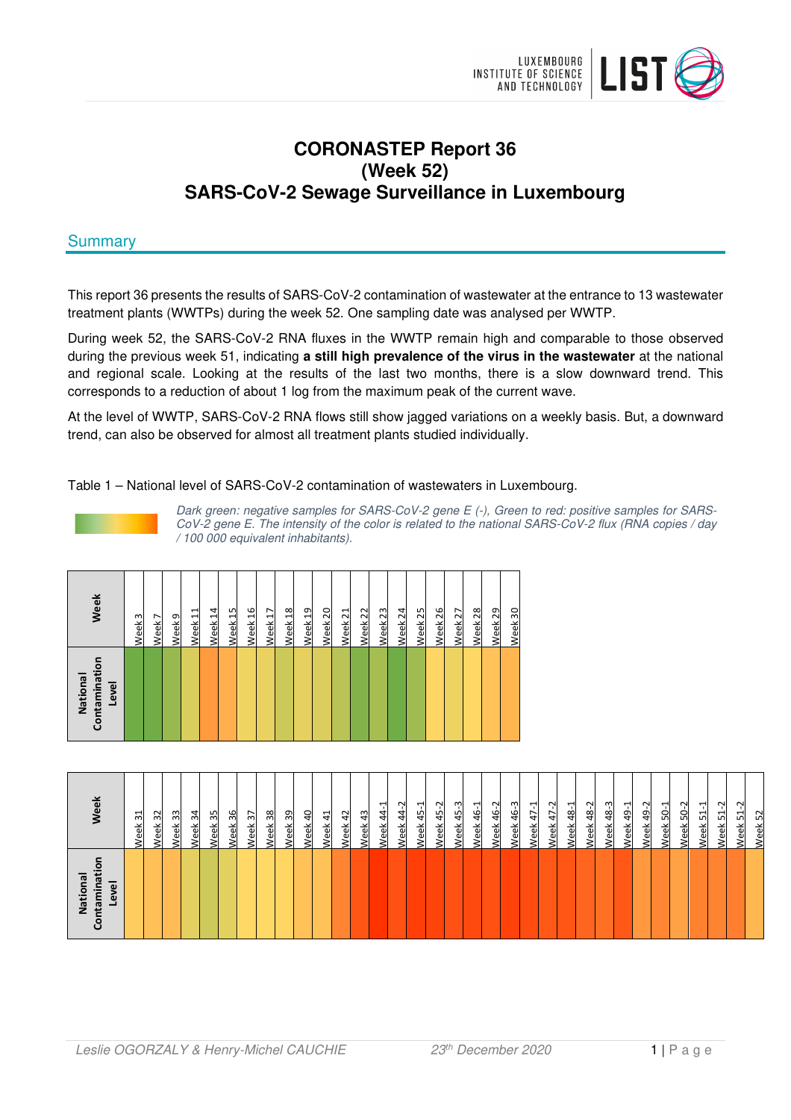

# **CORONASTEP Report 36 (Week 52) SARS-CoV-2 Sewage Surveillance in Luxembourg**

# **Summary**

This report 36 presents the results of SARS-CoV-2 contamination of wastewater at the entrance to 13 wastewater treatment plants (WWTPs) during the week 52. One sampling date was analysed per WWTP.

During week 52, the SARS-CoV-2 RNA fluxes in the WWTP remain high and comparable to those observed during the previous week 51, indicating **a still high prevalence of the virus in the wastewater** at the national and regional scale. Looking at the results of the last two months, there is a slow downward trend. This corresponds to a reduction of about 1 log from the maximum peak of the current wave.

At the level of WWTP, SARS-CoV-2 RNA flows still show jagged variations on a weekly basis. But, a downward trend, can also be observed for almost all treatment plants studied individually.

Table 1 – National level of SARS-CoV-2 contamination of wastewaters in Luxembourg.

Dark green: negative samples for SARS-CoV-2 gene E (-), Green to red: positive samples for SARS-CoV-2 gene E. The intensity of the color is related to the national SARS-CoV-2 flux (RNA copies / day / 100 000 equivalent inhabitants).

| Contaminatio<br>National<br>Level | Week               |
|-----------------------------------|--------------------|
|                                   | Week <sub>3</sub>  |
|                                   | Week <sub>7</sub>  |
|                                   | Week <sub>9</sub>  |
|                                   | Week <sub>11</sub> |
|                                   | Week <sub>14</sub> |
|                                   | Week <sub>15</sub> |
|                                   | Week 16            |
|                                   | Week <sub>17</sub> |
|                                   | Week <sub>18</sub> |
|                                   | Week <sub>19</sub> |
|                                   | Week <sub>20</sub> |
|                                   | Week <sub>21</sub> |
|                                   | Week <sub>22</sub> |
|                                   | Week <sub>23</sub> |
|                                   | Week <sub>24</sub> |
|                                   | Week <sub>25</sub> |
|                                   | Week <sub>26</sub> |
|                                   | Week <sub>27</sub> |
|                                   | Week <sub>28</sub> |
|                                   | Week 29            |
|                                   | Week 30            |

| Ξ<br>National<br>Level<br>Έ<br>园<br>ᆍ | ම                                                        |
|---------------------------------------|----------------------------------------------------------|
|                                       | ನ<br>eek                                                 |
|                                       | 32<br><u>eek</u>                                         |
|                                       | 33<br>eek                                                |
|                                       | $\mathfrak{A}$<br>る<br>$\mathbf \omega$                  |
|                                       | 35<br>훇<br>Φ                                             |
|                                       | 36<br>읫<br>്യ                                            |
|                                       | 57<br>る<br>$\mathbf \omega$                              |
|                                       | $\frac{8}{3}$<br>꼯<br>Φ                                  |
|                                       | 39<br>る<br>്യ                                            |
|                                       | $\theta$<br><u>eek</u>                                   |
|                                       | $\Xi$<br><u>eek</u>                                      |
|                                       | $\overline{4}$<br>/eek                                   |
|                                       | $\ddot{a}$<br>/eek                                       |
|                                       | $\overline{\phantom{0}}$<br>$\frac{4}{3}$<br><u>leek</u> |
|                                       | Ņ<br>$\ddot{4}$<br>eek<br>≤                              |
|                                       | $\overline{\phantom{0}}$<br>45<br>꼯                      |
|                                       | Ņ<br>45<br>꼯                                             |
|                                       | ო<br>45<br>ъ́                                            |
|                                       | 린<br>$\frac{6}{4}$<br><u>leek</u>                        |
|                                       | Ņ<br>$\frac{6}{4}$<br>훇                                  |
|                                       | ო<br>$\frac{6}{4}$<br>eek                                |
|                                       | ᆋ<br>$\overline{47}$<br><u>leek</u>                      |
|                                       | $\sim$<br>47<br>eek                                      |
|                                       | ᅱ<br>$\frac{8}{4}$<br><u>leek</u>                        |
|                                       | N<br>$\frac{8}{3}$<br><u>leek</u>                        |
|                                       | $\mathsf{m}$<br>48<br>/eek                               |
|                                       | ᆋ<br>$\overline{49}$<br>leek                             |
|                                       | $\sim$<br>$\overline{49}$<br>/eek                        |
|                                       | ᅱ<br>50<br>/eek                                          |
|                                       | $\sim$<br>S.<br>/eek                                     |
|                                       | ᅴ<br>꿔<br>/eek                                           |
|                                       | $\sim$<br><u>면</u><br>/eek                               |
|                                       | N<br>ᅴ<br>ഥി<br>leek                                     |
|                                       | 52<br>Week                                               |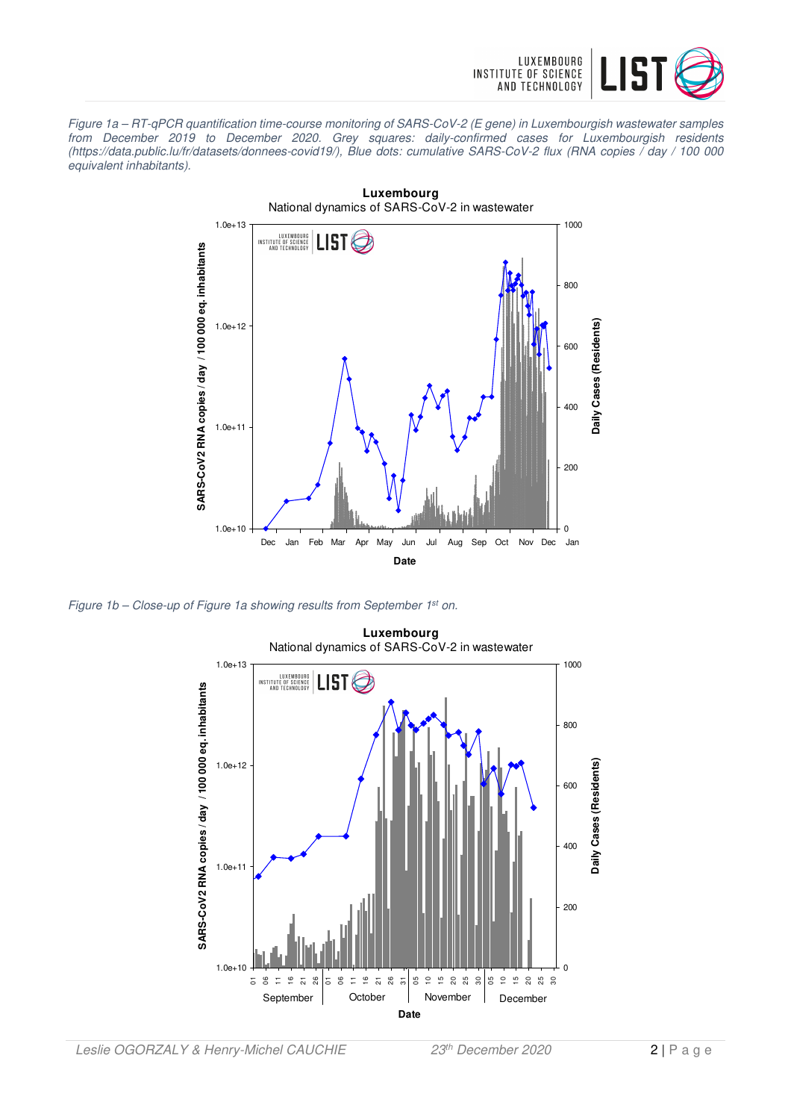

Figure 1a – RT-qPCR quantification time-course monitoring of SARS-CoV-2 (E gene) in Luxembourgish wastewater samples from December 2019 to December 2020. Grey squares: daily-confirmed cases for Luxembourgish residents (https://data.public.lu/fr/datasets/donnees-covid19/), Blue dots: cumulative SARS-CoV-2 flux (RNA copies / day / 100 000 equivalent inhabitants).



Figure 1b – Close-up of Figure 1a showing results from September 1<sup>st</sup> on.

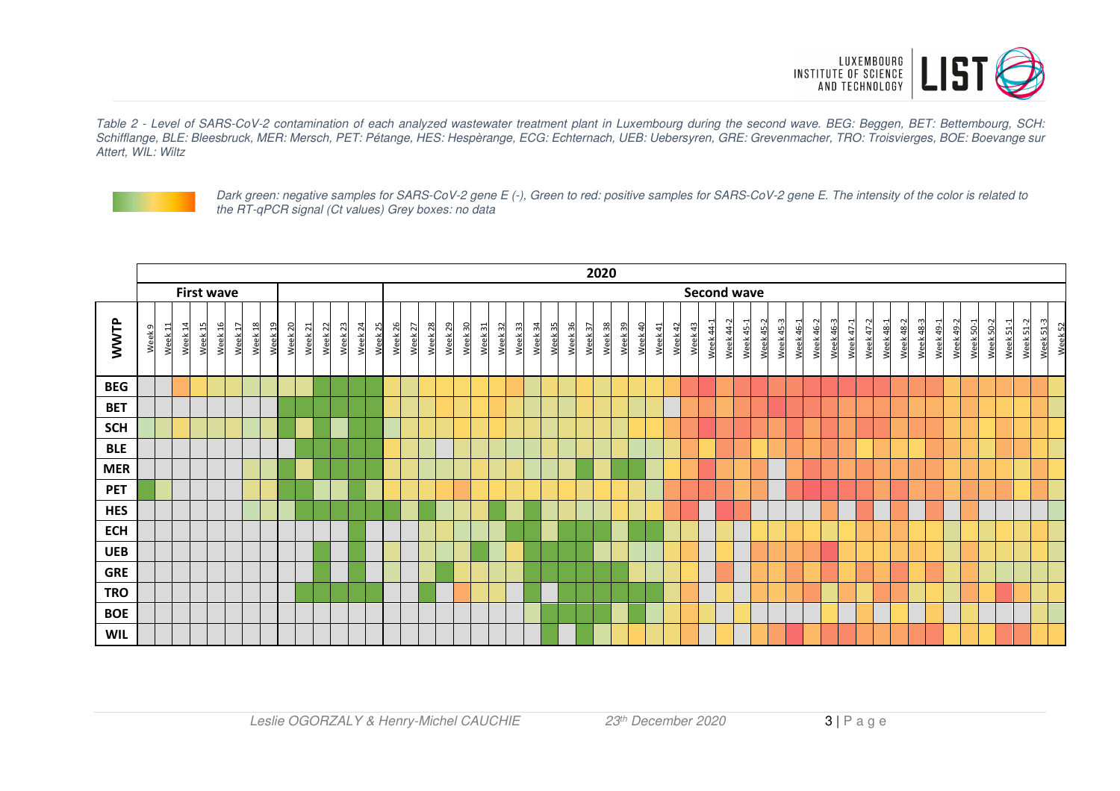

Table 2 - Level of SARS-CoV-2 contamination of each analyzed wastewater treatment plant in Luxembourg during the second wave. BEG: Beggen, BET: Bettembourg, SCH: Schifflange, BLE: Bleesbruck, MER: Mersch, PET: Pétange, HES: Hespèrange, ECG: Echternach, UEB: Uebersyren, GRE: Grevenmacher, TRO: Troisvierges, BOE: Boevange sur Attert, WIL: Wiltz



Dark green: negative samples for SARS-CoV-2 gene E (-), Green to red: positive samples for SARS-CoV-2 gene E. The intensity of the color is related to the RT-qPCR signal (Ct values) Grey boxes: no data

|            |                   |                    |                    |         |         |                    |                    |         |         |                    |                    |         |         |         |                    |         |         |         |         |         |         |              |         |         |         | 2020    |         |         |         |         |        |                    |           |           |                  |           |           |           |           |           |                               |                  |                  |           |                  |           |                |           |           |           |         |
|------------|-------------------|--------------------|--------------------|---------|---------|--------------------|--------------------|---------|---------|--------------------|--------------------|---------|---------|---------|--------------------|---------|---------|---------|---------|---------|---------|--------------|---------|---------|---------|---------|---------|---------|---------|---------|--------|--------------------|-----------|-----------|------------------|-----------|-----------|-----------|-----------|-----------|-------------------------------|------------------|------------------|-----------|------------------|-----------|----------------|-----------|-----------|-----------|---------|
|            | <b>First wave</b> |                    |                    |         |         |                    |                    |         |         |                    |                    |         |         |         |                    |         |         |         |         |         |         |              |         |         |         |         |         |         |         |         |        | <b>Second wave</b> |           |           |                  |           |           |           |           |           |                               |                  |                  |           |                  |           |                |           |           |           |         |
| WWTP       | Week <sub>9</sub> | Week <sub>11</sub> | Week 15<br>Week 14 | Week 16 | Week 17 | Week <sub>18</sub> | Week <sub>19</sub> | Week 20 | Week 21 | Week <sub>22</sub> | Week <sub>23</sub> | Week 24 | Week 25 | Week 26 | Week <sub>27</sub> | Week 28 | Week 29 | Week 30 | Week 31 | Week 32 | Week 33 | 34<br>Week 3 | Week 35 | Week 36 | Week 37 | Week 38 | Week 39 | Week 40 | Week 41 | Week 42 | Week43 | <b>Week 44-1</b>   | Week 44-2 | Week 45-1 | <b>Week 45-2</b> | Week 45-3 | Week 46-1 | Week 46-2 | Week 46-3 | Week 47-1 | Week 47-2<br><b>Week 48-1</b> | <b>Week 48-2</b> | <b>Week 48-3</b> | Week 49-1 | <b>Week 49-2</b> | Week 50-1 | $50-2$<br>Week | Week 51-1 | Week 51-2 | Week 51-3 | Week 52 |
| <b>BEG</b> |                   |                    |                    |         |         |                    |                    |         |         |                    |                    |         |         |         |                    |         |         |         |         |         |         |              |         |         |         |         |         |         |         |         |        |                    |           |           |                  |           |           |           |           |           |                               |                  |                  |           |                  |           |                |           |           |           |         |
| <b>BET</b> |                   |                    |                    |         |         |                    |                    |         |         |                    |                    |         |         |         |                    |         |         |         |         |         |         |              |         |         |         |         |         |         |         |         |        |                    |           |           |                  |           |           |           |           |           |                               |                  |                  |           |                  |           |                |           |           |           |         |
| <b>SCH</b> |                   |                    |                    |         |         |                    |                    |         |         |                    |                    |         |         |         |                    |         |         |         |         |         |         |              |         |         |         |         |         |         |         |         |        |                    |           |           |                  |           |           |           |           |           |                               |                  |                  |           |                  |           |                |           |           |           |         |
| <b>BLE</b> |                   |                    |                    |         |         |                    |                    |         |         |                    |                    |         |         |         |                    |         |         |         |         |         |         |              |         |         |         |         |         |         |         |         |        |                    |           |           |                  |           |           |           |           |           |                               |                  |                  |           |                  |           |                |           |           |           |         |
| <b>MER</b> |                   |                    |                    |         |         |                    |                    |         |         |                    |                    |         |         |         |                    |         |         |         |         |         |         |              |         |         |         |         |         |         |         |         |        |                    |           |           |                  |           |           |           |           |           |                               |                  |                  |           |                  |           |                |           |           |           |         |
| <b>PET</b> |                   |                    |                    |         |         |                    |                    |         |         |                    |                    |         |         |         |                    |         |         |         |         |         |         |              |         |         |         |         |         |         |         |         |        |                    |           |           |                  |           |           |           |           |           |                               |                  |                  |           |                  |           |                |           |           |           |         |
| <b>HES</b> |                   |                    |                    |         |         |                    |                    |         |         |                    |                    |         |         |         |                    |         |         |         |         |         |         |              |         |         |         |         |         |         |         |         |        |                    |           |           |                  |           |           |           |           |           |                               |                  |                  |           |                  |           |                |           |           |           |         |
| <b>ECH</b> |                   |                    |                    |         |         |                    |                    |         |         |                    |                    |         |         |         |                    |         |         |         |         |         |         |              |         |         |         |         |         |         |         |         |        |                    |           |           |                  |           |           |           |           |           |                               |                  |                  |           |                  |           |                |           |           |           |         |
| <b>UEB</b> |                   |                    |                    |         |         |                    |                    |         |         |                    |                    |         |         |         |                    |         |         |         |         |         |         |              |         |         |         |         |         |         |         |         |        |                    |           |           |                  |           |           |           |           |           |                               |                  |                  |           |                  |           |                |           |           |           |         |
| <b>GRE</b> |                   |                    |                    |         |         |                    |                    |         |         |                    |                    |         |         |         |                    |         |         |         |         |         |         |              |         |         |         |         |         |         |         |         |        |                    |           |           |                  |           |           |           |           |           |                               |                  |                  |           |                  |           |                |           |           |           |         |
| <b>TRO</b> |                   |                    |                    |         |         |                    |                    |         |         |                    |                    |         |         |         |                    |         |         |         |         |         |         |              |         |         |         |         |         |         |         |         |        |                    |           |           |                  |           |           |           |           |           |                               |                  |                  |           |                  |           |                |           |           |           |         |
| <b>BOE</b> |                   |                    |                    |         |         |                    |                    |         |         |                    |                    |         |         |         |                    |         |         |         |         |         |         |              |         |         |         |         |         |         |         |         |        |                    |           |           |                  |           |           |           |           |           |                               |                  |                  |           |                  |           |                |           |           |           |         |
| <b>WIL</b> |                   |                    |                    |         |         |                    |                    |         |         |                    |                    |         |         |         |                    |         |         |         |         |         |         |              |         |         |         |         |         |         |         |         |        |                    |           |           |                  |           |           |           |           |           |                               |                  |                  |           |                  |           |                |           |           |           |         |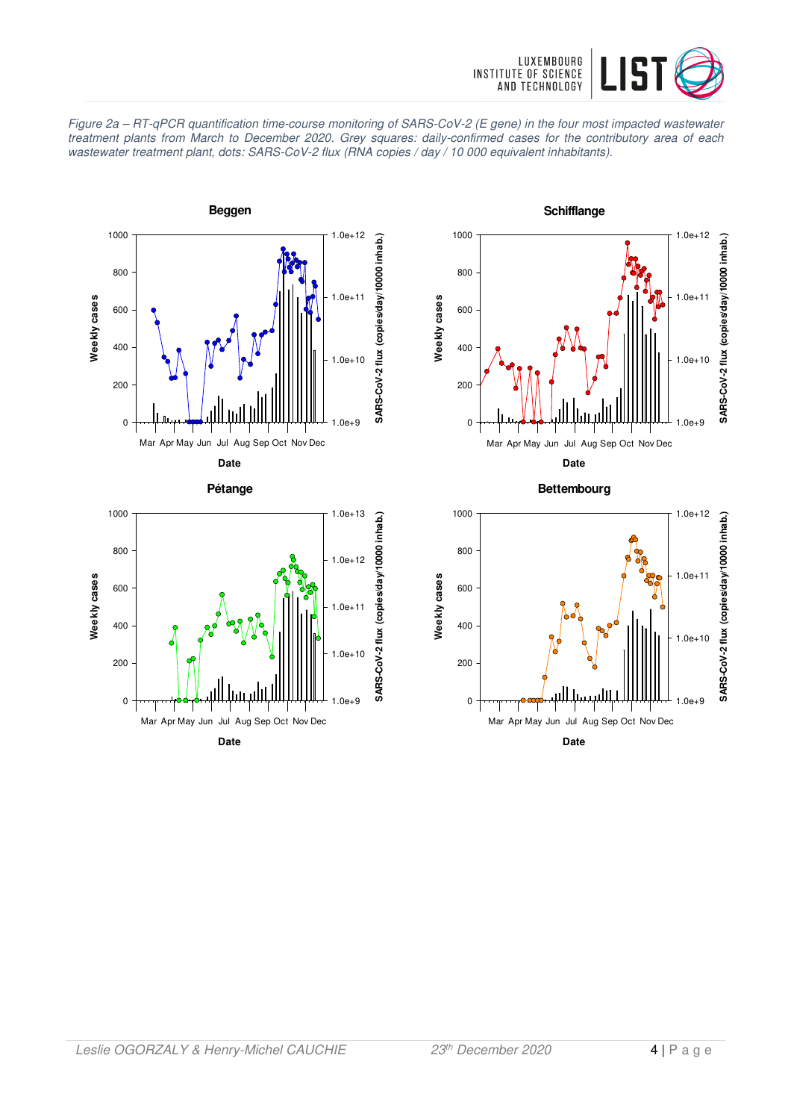

Figure 2a – RT-qPCR quantification time-course monitoring of SARS-CoV-2 (E gene) in the four most impacted wastewater treatment plants from March to December 2020. Grey squares: daily-confirmed cases for the contributory area of each wastewater treatment plant, dots: SARS-CoV-2 flux (RNA copies / day / 10 000 equivalent inhabitants).



**Schifflange** 1000 1.0e+12 SARS-CoV-2 flux (copies/day/10000 inhab.) **SARS-CoV-2 flux (copies/day/10000 inhab.)** 800 1.0e+11 Weekly cases **Weekly cases** 600 400 1.0e+10 200 0  $0e+9$ Mar Apr May Jun Jul Aug Sep Oct Nov Dec

**Date Bettembourg**

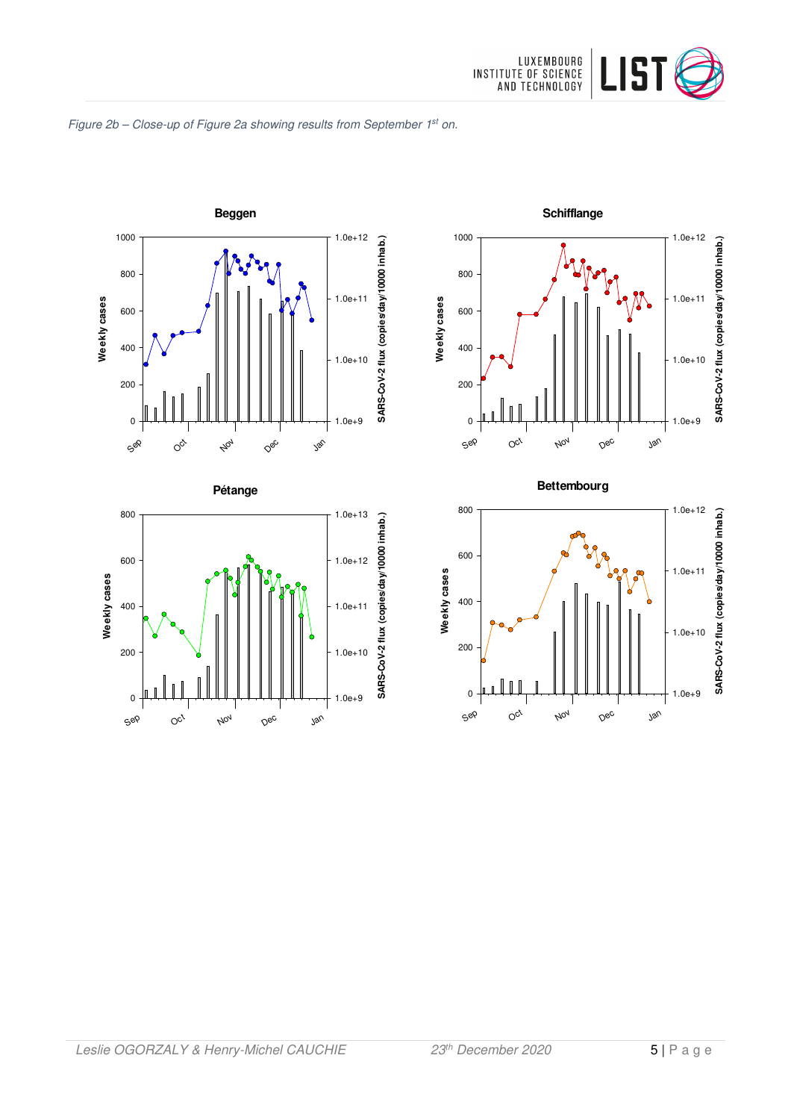

#### Figure 2b - Close-up of Figure 2a showing results from September 1st on.









1.0e+12

800

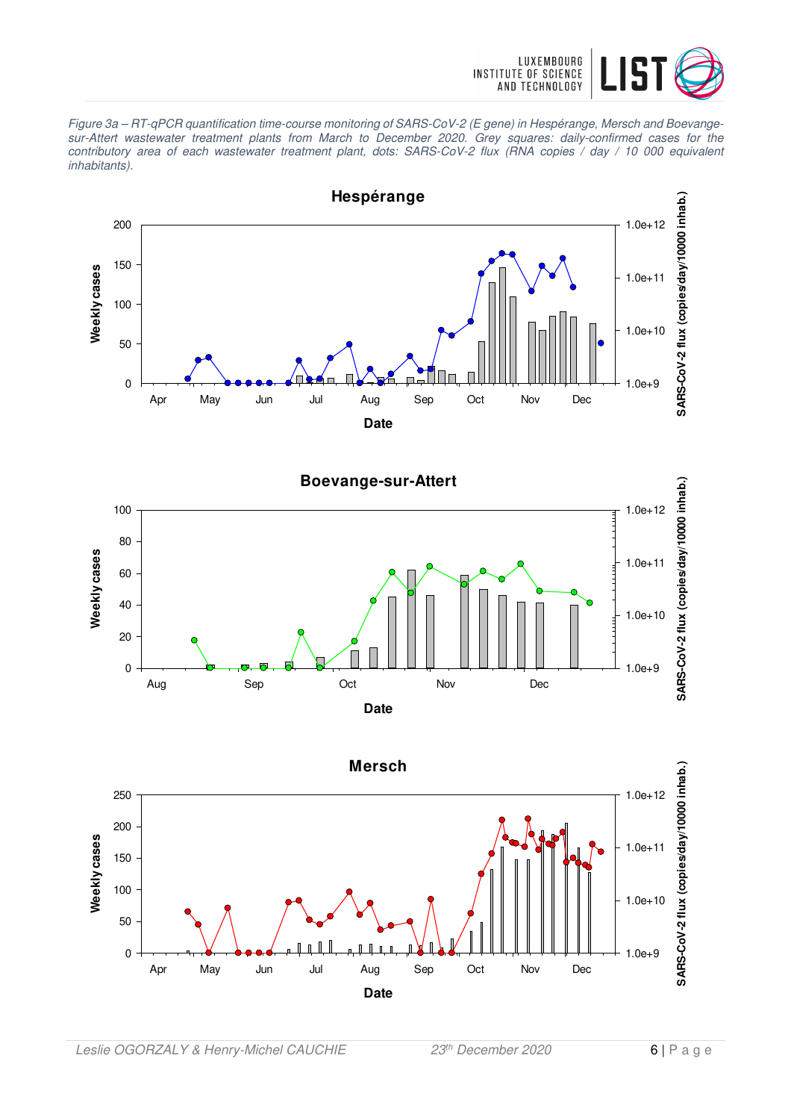

Figure 3a – RT-qPCR quantification time-course monitoring of SARS-CoV-2 (E gene) in Hespérange, Mersch and Boevangesur-Attert wastewater treatment plants from March to December 2020. Grey squares: daily-confirmed cases for the contributory area of each wastewater treatment plant, dots: SARS-CoV-2 flux (RNA copies / day / 10 000 equivalent inhabitants).





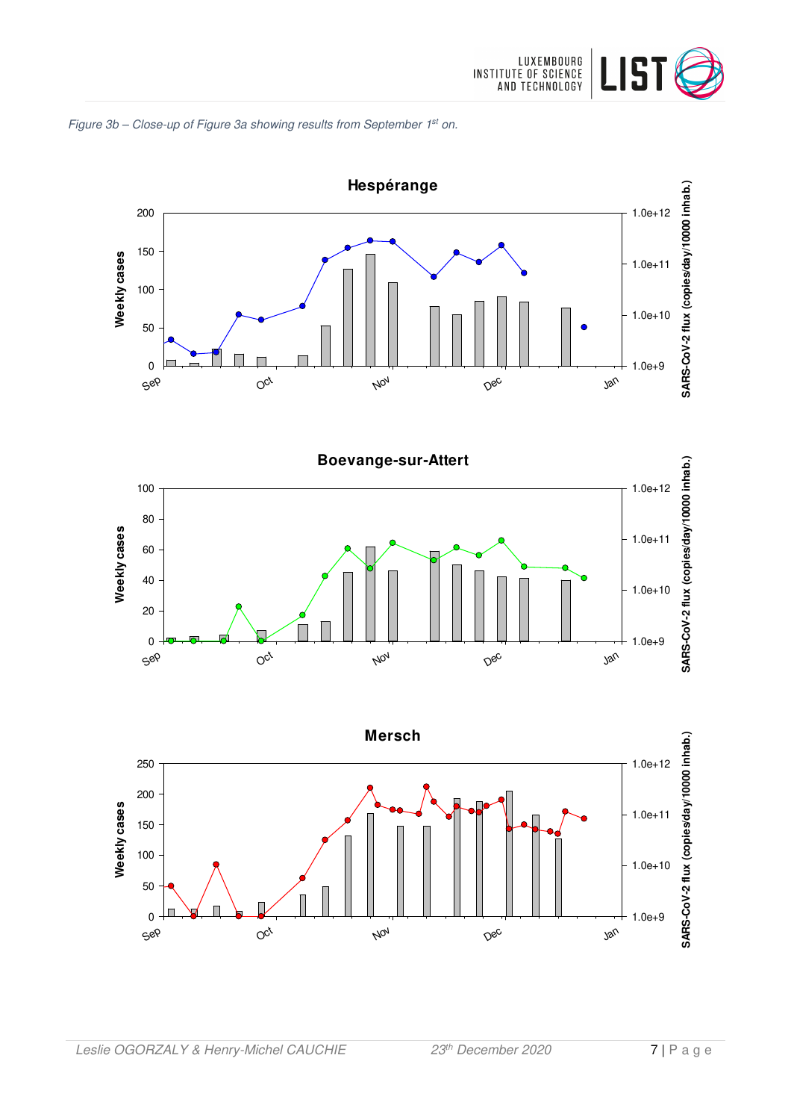







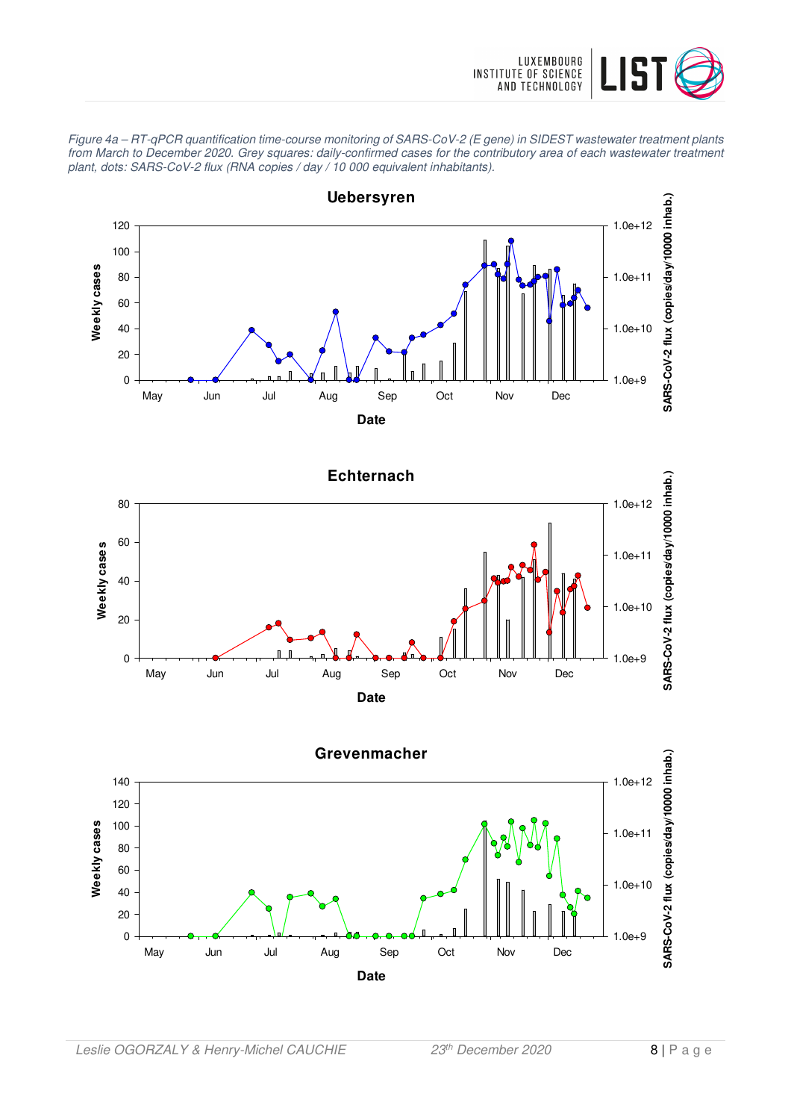

Figure 4a – RT-qPCR quantification time-course monitoring of SARS-CoV-2 (E gene) in SIDEST wastewater treatment plants from March to December 2020. Grey squares: daily-confirmed cases for the contributory area of each wastewater treatment plant, dots: SARS-CoV-2 flux (RNA copies / day / 10 000 equivalent inhabitants).

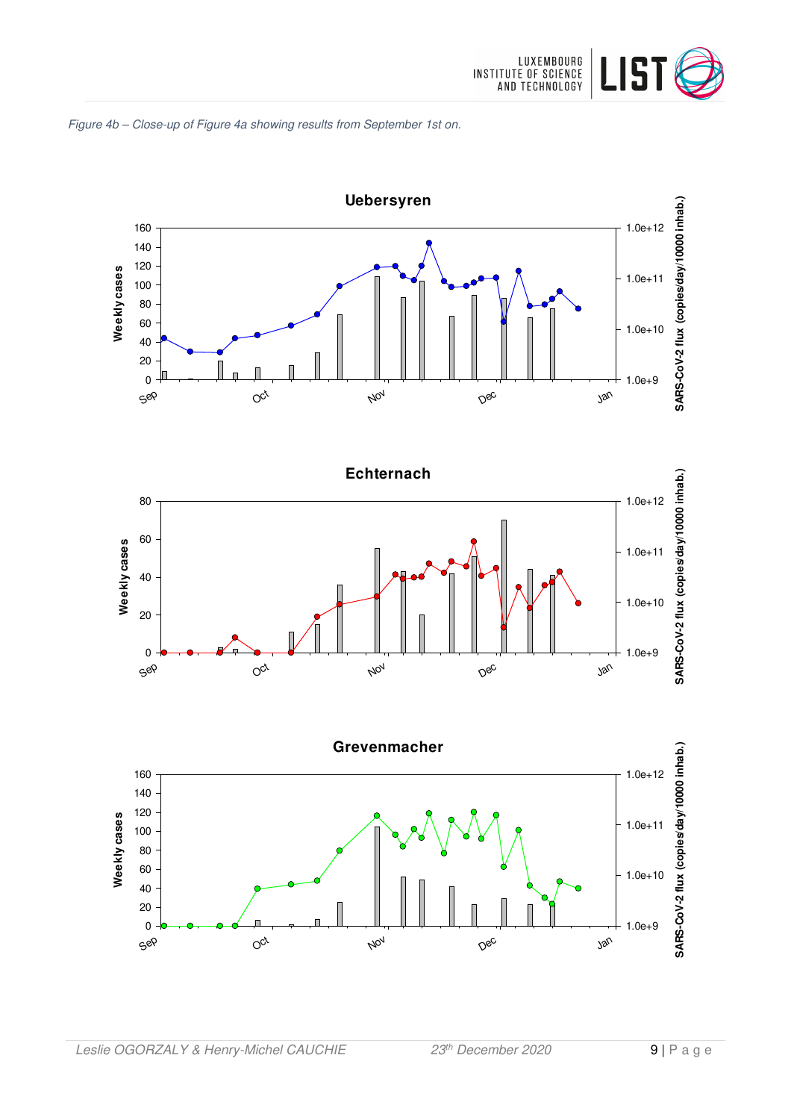





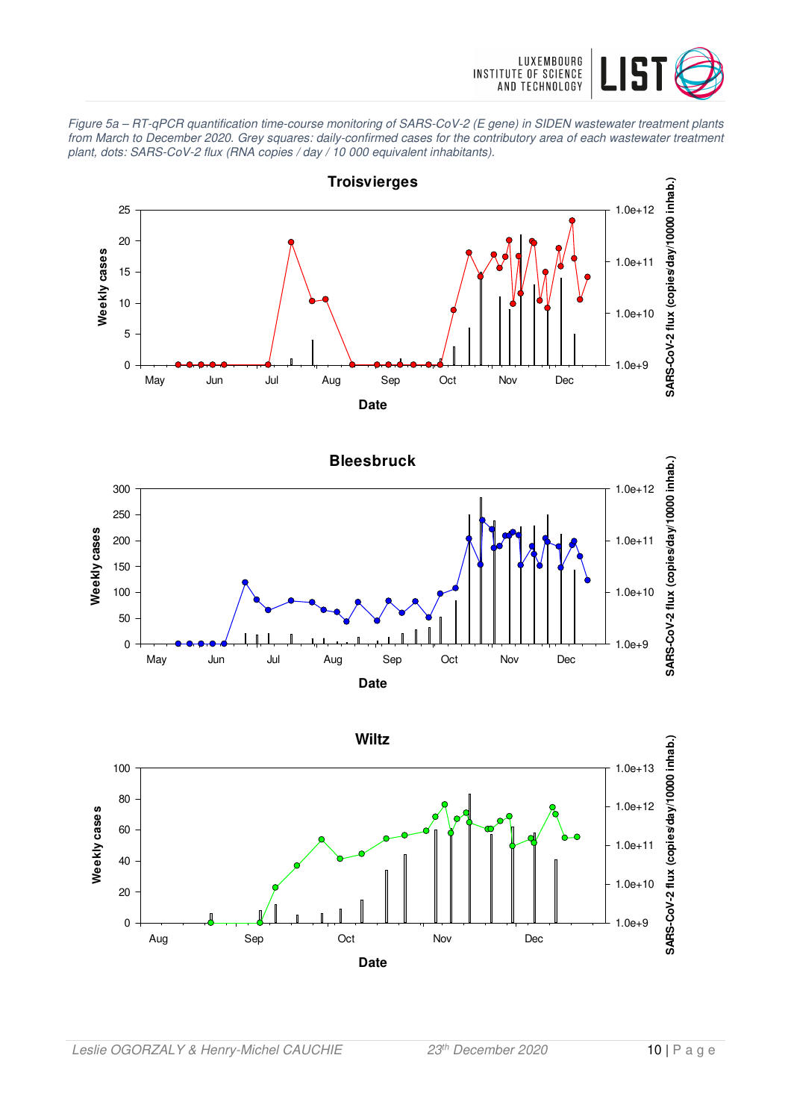

Figure 5a – RT-qPCR quantification time-course monitoring of SARS-CoV-2 (E gene) in SIDEN wastewater treatment plants from March to December 2020. Grey squares: daily-confirmed cases for the contributory area of each wastewater treatment plant, dots: SARS-CoV-2 flux (RNA copies / day / 10 000 equivalent inhabitants).





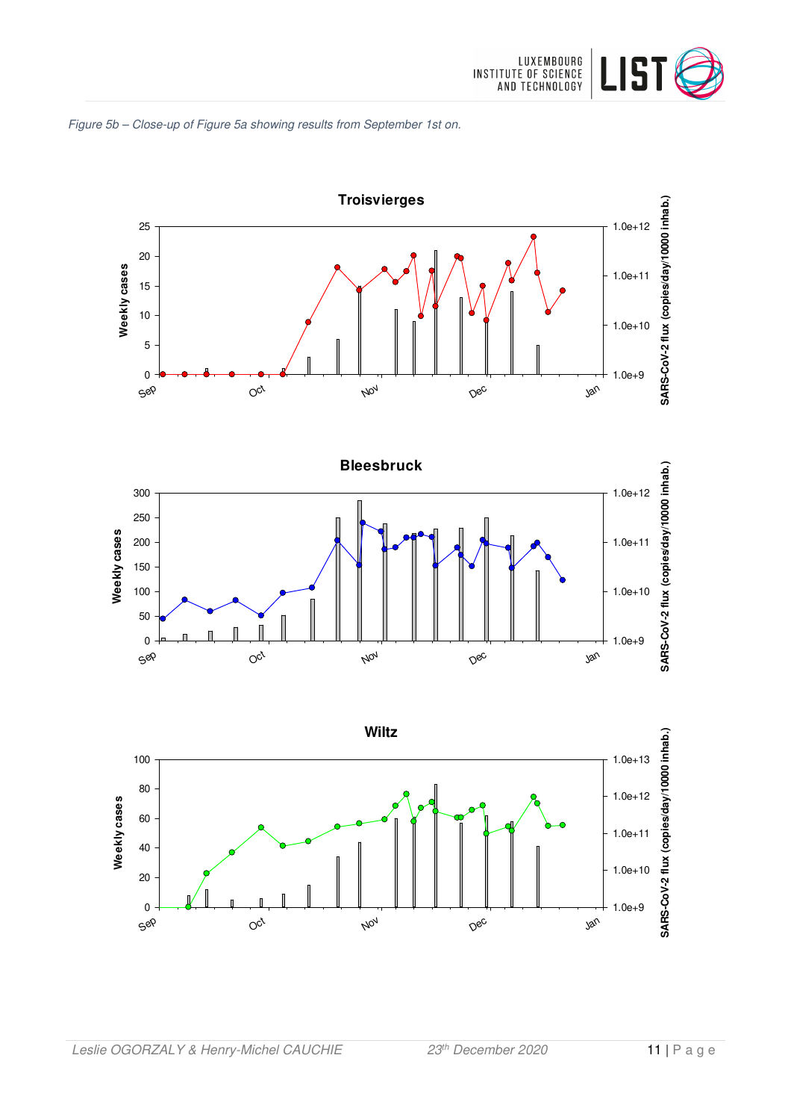





Nov

 $O<sub>c</sub>$ 

Sep

Dec

Jan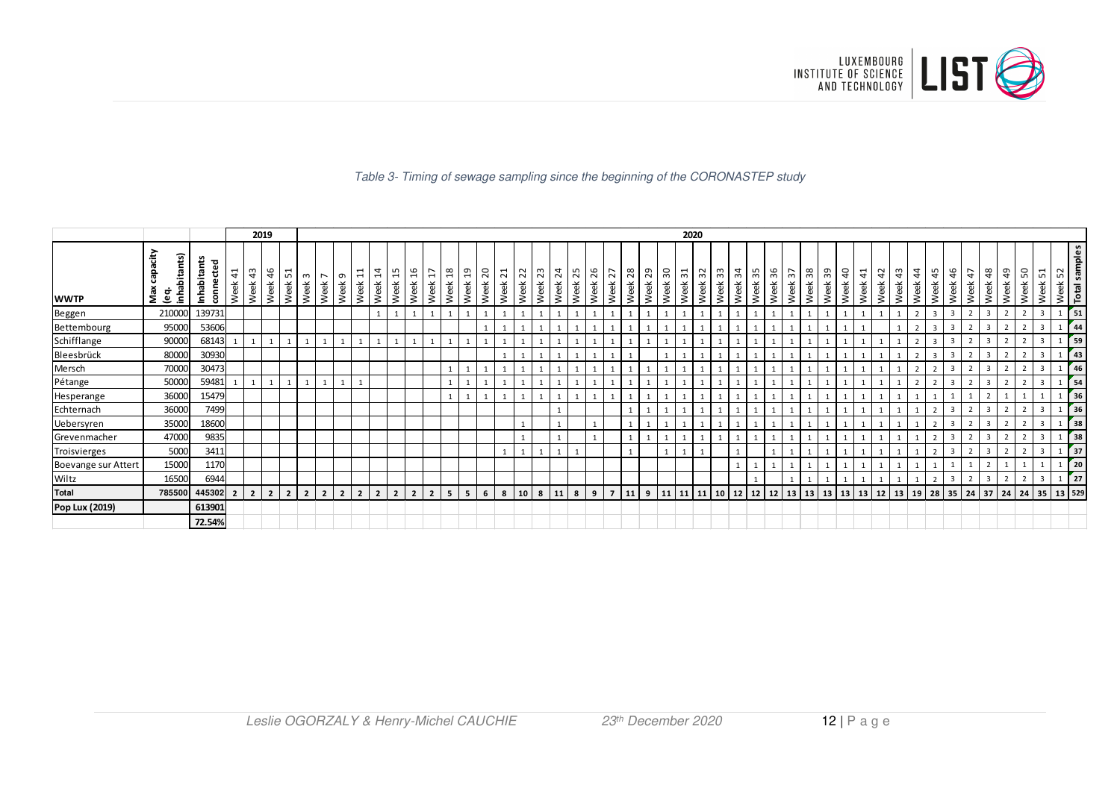

#### Table 3- Timing of sewage sampling since the beginning of the CORONASTEP study

|                       |                                     |                          |                    |                    | 2019           |                |                |                                  |                          |                                                    |                  |                |           |                |                       |           |           |           |                        |            |                                  |            |            |                          |              |            |           | 2020                    |                       |            |                        |           |            |                                       |    |            |           |                        |                         |                       |                    |                         |                         |                         |                         |                |             |                         |                          |
|-----------------------|-------------------------------------|--------------------------|--------------------|--------------------|----------------|----------------|----------------|----------------------------------|--------------------------|----------------------------------------------------|------------------|----------------|-----------|----------------|-----------------------|-----------|-----------|-----------|------------------------|------------|----------------------------------|------------|------------|--------------------------|--------------|------------|-----------|-------------------------|-----------------------|------------|------------------------|-----------|------------|---------------------------------------|----|------------|-----------|------------------------|-------------------------|-----------------------|--------------------|-------------------------|-------------------------|-------------------------|-------------------------|----------------|-------------|-------------------------|--------------------------|
| <b>WWTP</b>           | apacity<br>inhabitants)<br>Max<br>ē | Inhabitants<br>connected | $\ddot{a}$<br>Week | $\ddot{a}$<br>Week | 46<br>Week     | ᄓ<br>Week      | $\sim$<br>Week | $\overline{\phantom{0}}$<br>Week | $\sigma$<br>Week         | $\overline{\phantom{0}}$<br>$\overline{ }$<br>Week | $\sharp$<br>Week | 15<br>Week     | ρ<br>Week | H<br>Week      | $\frac{8}{2}$<br>Week | ុ<br>Week | ຊ<br>Week | ដ<br>Week | $\overline{z}$<br>Week | 23<br>Week | $\overline{\mathcal{L}}$<br>Week | 25<br>Week | 26<br>Week | 27<br>Week               | 28<br>Week   | 29<br>Week | ႙<br>Week | $\overline{31}$<br>Week | $\frac{1}{2}$<br>Week | 33<br>Week | $\mathfrak{L}$<br>Week | ౘ<br>Week | 36<br>Week | $\tilde{\varepsilon}$<br>Week<br>Week | 38 | 39<br>Week | ੩<br>Week | $\overline{4}$<br>Week | $\overline{42}$<br>Week | $\frac{3}{4}$<br>Week | $\ddot{a}$<br>Week | 45<br>Week              | 46<br>Week              | $\ddot{t}$<br>Week      | $\frac{8}{3}$<br>Week   | අ<br>Week      | S<br>畜<br>Š | ᄓ<br>Week               | Week 52<br>Total samples |
| Beggen                | 210000                              | 139731                   |                    |                    |                |                |                |                                  |                          |                                                    |                  |                |           | $\mathbf{1}$   |                       |           |           |           |                        |            |                                  |            |            |                          |              |            |           |                         |                       |            |                        |           |            |                                       |    |            |           |                        |                         |                       |                    | $\overline{\mathbf{3}}$ | $\overline{3}$          |                         | $\overline{\mathbf{3}}$ |                |             | $\overline{3}$          | $\frac{1}{2}$ 51         |
| Bettembourg           | 95000                               | 53606                    |                    |                    |                |                |                |                                  |                          |                                                    |                  |                |           |                |                       |           |           |           |                        |            |                                  |            |            |                          |              |            |           |                         |                       |            |                        |           |            |                                       |    |            |           |                        |                         |                       |                    |                         | $\overline{3}$          |                         | 3                       |                |             | $\mathbf{R}$            | 44                       |
| Schifflange           | 90000                               | 68143                    |                    |                    |                |                |                |                                  |                          |                                                    |                  |                |           |                |                       |           |           |           |                        |            |                                  |            |            |                          |              |            |           |                         |                       |            |                        |           |            |                                       |    |            |           |                        |                         |                       |                    |                         | $\overline{\mathbf{3}}$ |                         | $\overline{3}$          |                |             | $\overline{\mathbf{3}}$ | 59                       |
| Bleesbrück            | 80000                               | 30930                    |                    |                    |                |                |                |                                  |                          |                                                    |                  |                |           |                |                       |           |           |           |                        |            |                                  |            |            |                          |              |            |           |                         |                       |            |                        |           |            |                                       |    |            |           |                        |                         |                       |                    |                         | $\overline{3}$          |                         | 3                       |                |             |                         | $\frac{1}{43}$           |
| Mersch                | 70000                               | 30473                    |                    |                    |                |                |                |                                  |                          |                                                    |                  |                |           |                |                       |           |           |           |                        |            |                                  |            |            |                          |              |            |           |                         |                       |            |                        |           |            |                                       |    |            |           |                        |                         |                       |                    |                         | $\overline{3}$          |                         | $\overline{\mathbf{3}}$ |                |             | $\overline{3}$          | 46                       |
| Pétange               | 50000                               | 59481                    |                    |                    |                |                |                |                                  |                          |                                                    |                  |                |           |                |                       |           |           |           |                        |            |                                  |            |            |                          |              |            |           |                         |                       |            |                        |           |            |                                       |    |            |           |                        |                         |                       |                    |                         | $\overline{3}$          |                         | $\overline{\mathbf{3}}$ |                |             | $\overline{\mathbf{z}}$ | 54                       |
| Hesperange            | 36000                               | 15479                    |                    |                    |                |                |                |                                  |                          |                                                    |                  |                |           |                |                       |           |           |           |                        |            |                                  |            |            |                          |              |            |           |                         |                       |            |                        |           |            |                                       |    |            |           |                        |                         |                       |                    |                         |                         |                         |                         |                |             |                         | 36                       |
| Echternach            | 36000                               | 7499                     |                    |                    |                |                |                |                                  |                          |                                                    |                  |                |           |                |                       |           |           |           |                        |            |                                  |            |            |                          |              |            |           |                         |                       |            |                        |           |            |                                       |    |            |           |                        |                         |                       |                    |                         | $\overline{3}$          |                         | $\overline{3}$          |                |             |                         | 36                       |
| Uebersyren            | 35000                               | 18600                    |                    |                    |                |                |                |                                  |                          |                                                    |                  |                |           |                |                       |           |           |           |                        |            |                                  |            |            |                          |              |            |           |                         |                       |            |                        |           |            |                                       |    |            |           |                        |                         |                       |                    |                         |                         |                         |                         |                |             |                         | 38                       |
| Grevenmacher          | 47000                               | 9835                     |                    |                    |                |                |                |                                  |                          |                                                    |                  |                |           |                |                       |           |           |           |                        |            |                                  |            |            |                          | $\mathbf{1}$ |            |           |                         |                       |            |                        |           |            |                                       |    |            |           |                        |                         |                       |                    |                         | $\overline{\mathbf{3}}$ |                         | $\overline{3}$          |                |             | $\overline{3}$          | 38                       |
| Troisvierges          | 5000                                | 3411                     |                    |                    |                |                |                |                                  |                          |                                                    |                  |                |           |                |                       |           |           |           |                        |            |                                  |            |            |                          |              |            |           |                         |                       |            |                        |           |            |                                       |    |            |           |                        |                         |                       |                    |                         | $\overline{3}$          |                         | $\overline{3}$          |                |             | $\overline{3}$          | 37                       |
| Boevange sur Attert   | 15000                               | 1170                     |                    |                    |                |                |                |                                  |                          |                                                    |                  |                |           |                |                       |           |           |           |                        |            |                                  |            |            |                          |              |            |           |                         |                       |            |                        |           |            |                                       |    |            |           |                        |                         |                       |                    |                         |                         |                         |                         |                |             |                         | 20                       |
| Wiltz                 | 16500                               | 6944                     |                    |                    |                |                |                |                                  |                          |                                                    |                  |                |           |                |                       |           |           |           |                        |            |                                  |            |            |                          |              |            |           |                         |                       |            |                        |           |            |                                       |    |            |           |                        |                         |                       |                    |                         | $\overline{3}$          | $\mathbf{\overline{a}}$ | $\overline{3}$          | $\overline{2}$ |             | $\overline{\mathbf{3}}$ | $r_{27}$                 |
| <b>Total</b>          | 785500                              | 445302                   | $\overline{2}$     | $\overline{2}$     | $\overline{2}$ | 2 <sup>1</sup> | $\overline{2}$ | $\overline{2}$                   | $\overline{\phantom{a}}$ | $\overline{\phantom{a}}$                           |                  | $\overline{2}$ |           | $\overline{2}$ | 5                     | 5         | 6         | 8         | 10                     | 8          | 11                               | 8          | 9          | $\overline{\phantom{a}}$ | 11           | 9          | 11        | 11                      | l 11 l                |            | 12                     | 12        | 12         | 13                                    | 13 | $13$ 13    |           | $13 \mid 12 \mid 13$   |                         |                       | <b>19</b>          | 28                      | $35$ 24                 |                         | 37                      | $24 \mid 24$   |             | 35                      | 13 529                   |
| <b>Pop Lux (2019)</b> |                                     | 613901                   |                    |                    |                |                |                |                                  |                          |                                                    |                  |                |           |                |                       |           |           |           |                        |            |                                  |            |            |                          |              |            |           |                         |                       |            |                        |           |            |                                       |    |            |           |                        |                         |                       |                    |                         |                         |                         |                         |                |             |                         |                          |
|                       |                                     | 72.54%                   |                    |                    |                |                |                |                                  |                          |                                                    |                  |                |           |                |                       |           |           |           |                        |            |                                  |            |            |                          |              |            |           |                         |                       |            |                        |           |            |                                       |    |            |           |                        |                         |                       |                    |                         |                         |                         |                         |                |             |                         |                          |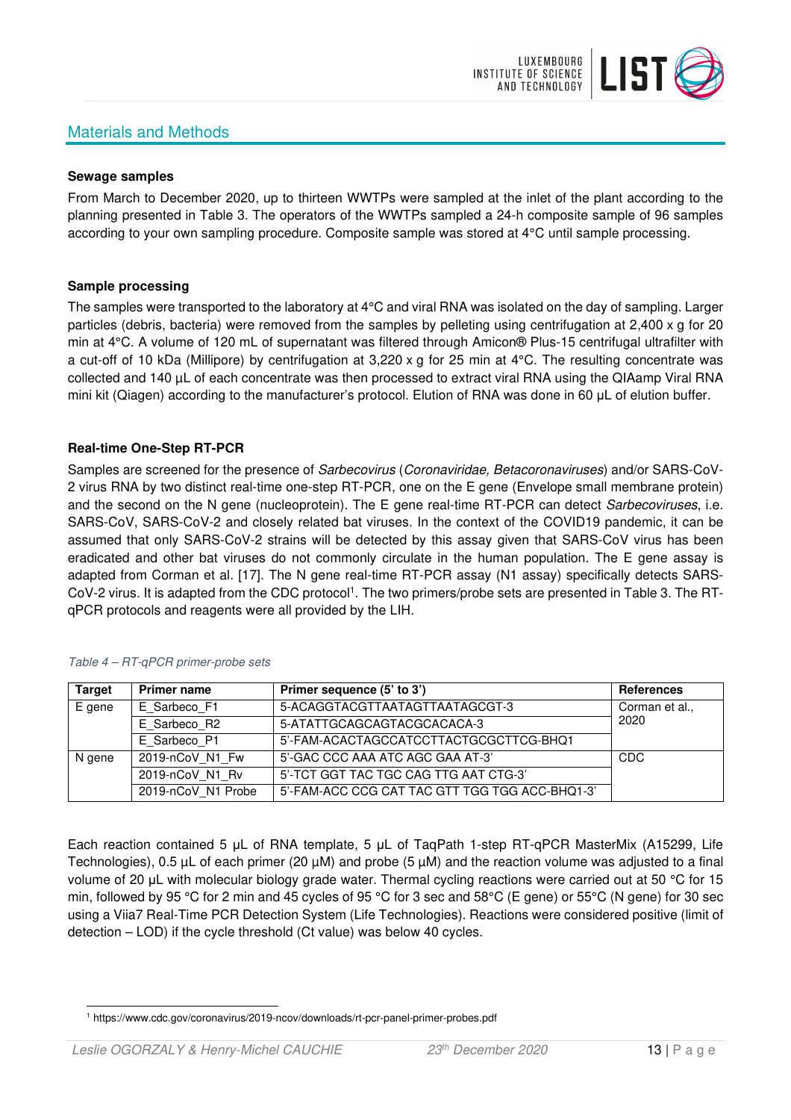# Materials and Methods



#### **Sewage samples**

From March to December 2020, up to thirteen WWTPs were sampled at the inlet of the plant according to the planning presented in Table 3. The operators of the WWTPs sampled a 24-h composite sample of 96 samples according to your own sampling procedure. Composite sample was stored at 4°C until sample processing.

#### **Sample processing**

The samples were transported to the laboratory at 4°C and viral RNA was isolated on the day of sampling. Larger particles (debris, bacteria) were removed from the samples by pelleting using centrifugation at 2,400 x g for 20 min at 4°C. A volume of 120 mL of supernatant was filtered through Amicon® Plus-15 centrifugal ultrafilter with a cut-off of 10 kDa (Millipore) by centrifugation at 3,220 x g for 25 min at 4°C. The resulting concentrate was collected and 140 µL of each concentrate was then processed to extract viral RNA using the QIAamp Viral RNA mini kit (Qiagen) according to the manufacturer's protocol. Elution of RNA was done in 60 μL of elution buffer.

### **Real-time One-Step RT-PCR**

Samples are screened for the presence of *Sarbecovirus (Coronaviridae, Betacoronaviruses*) and/or SARS-CoV-2 virus RNA by two distinct real-time one-step RT-PCR, one on the E gene (Envelope small membrane protein) and the second on the N gene (nucleoprotein). The E gene real-time RT-PCR can detect Sarbecoviruses, i.e. SARS-CoV, SARS-CoV-2 and closely related bat viruses. In the context of the COVID19 pandemic, it can be assumed that only SARS-CoV-2 strains will be detected by this assay given that SARS-CoV virus has been eradicated and other bat viruses do not commonly circulate in the human population. The E gene assay is adapted from Corman et al. [17]. The N gene real-time RT-PCR assay (N1 assay) specifically detects SARS-CoV-2 virus. It is adapted from the CDC protocol<sup>1</sup>. The two primers/probe sets are presented in Table 3. The RTqPCR protocols and reagents were all provided by the LIH.

| <b>Target</b> | <b>Primer name</b> | Primer sequence (5' to 3')                     | References     |
|---------------|--------------------|------------------------------------------------|----------------|
| E gene        | E Sarbeco F1       | 5-ACAGGTACGTTAATAGTTAATAGCGT-3                 | Corman et al., |
|               | E Sarbeco R2       | 5-ATATTGCAGCAGTACGCACACA-3                     | 2020           |
|               | E Sarbeco P1       | 5'-FAM-ACACTAGCCATCCTTACTGCGCTTCG-BHQ1         |                |
| N gene        | 2019-nCoV N1 Fw    | 5'-GAC CCC AAA ATC AGC GAA AT-3'               | CDC            |
|               | 2019-nCoV N1 Rv    | 5'-TCT GGT TAC TGC CAG TTG AAT CTG-3'          |                |
|               | 2019-nCoV N1 Probe | 5'-FAM-ACC CCG CAT TAC GTT TGG TGG ACC-BHQ1-3' |                |

#### Table 4 – RT-qPCR primer-probe sets

Each reaction contained 5 μL of RNA template, 5 μL of TaqPath 1-step RT-qPCR MasterMix (A15299, Life Technologies), 0.5 µL of each primer (20 µM) and probe (5 µM) and the reaction volume was adjusted to a final volume of 20 μL with molecular biology grade water. Thermal cycling reactions were carried out at 50 °C for 15 min, followed by 95 °C for 2 min and 45 cycles of 95 °C for 3 sec and 58°C (E gene) or 55°C (N gene) for 30 sec using a Viia7 Real-Time PCR Detection System (Life Technologies). Reactions were considered positive (limit of detection – LOD) if the cycle threshold (Ct value) was below 40 cycles.

<sup>1</sup> https://www.cdc.gov/coronavirus/2019-ncov/downloads/rt-pcr-panel-primer-probes.pdf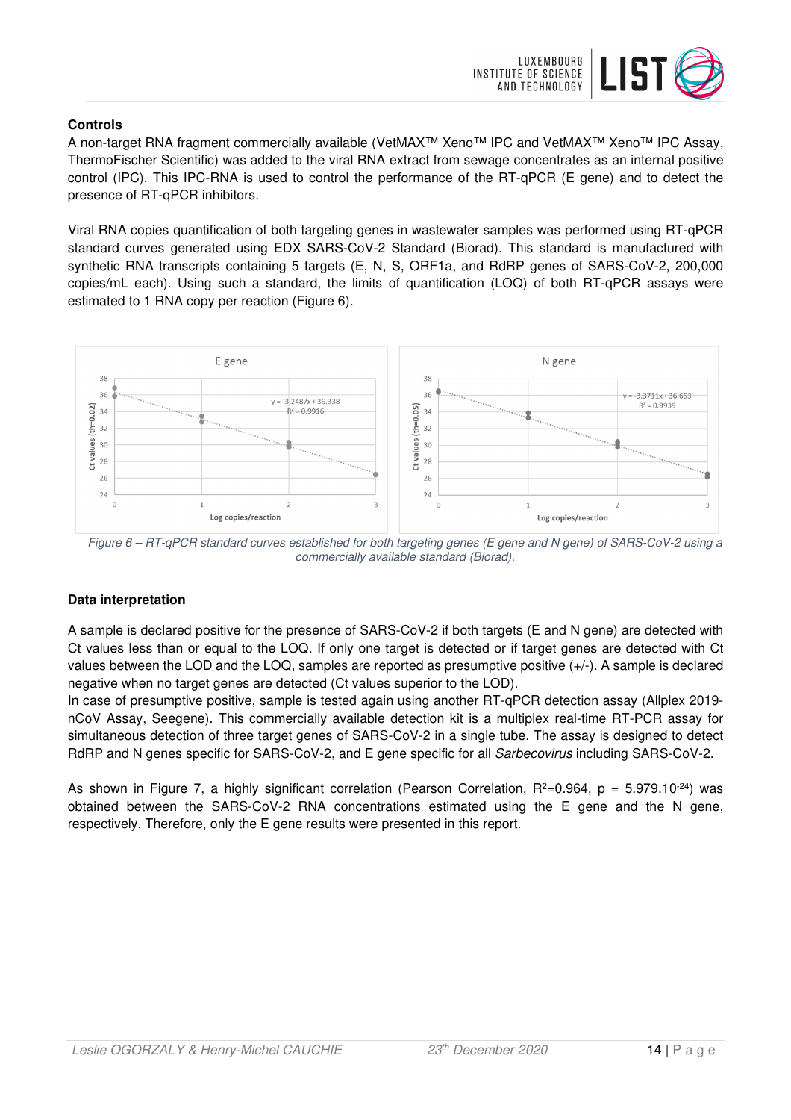

## **Controls**

A non-target RNA fragment commercially available (VetMAX™ Xeno™ IPC and VetMAX™ Xeno™ IPC Assay, ThermoFischer Scientific) was added to the viral RNA extract from sewage concentrates as an internal positive control (IPC). This IPC-RNA is used to control the performance of the RT-qPCR (E gene) and to detect the presence of RT-qPCR inhibitors.

Viral RNA copies quantification of both targeting genes in wastewater samples was performed using RT-qPCR standard curves generated using EDX SARS-CoV-2 Standard (Biorad). This standard is manufactured with synthetic RNA transcripts containing 5 targets (E, N, S, ORF1a, and RdRP genes of SARS-CoV-2, 200,000 copies/mL each). Using such a standard, the limits of quantification (LOQ) of both RT-qPCR assays were estimated to 1 RNA copy per reaction (Figure 6).



Figure 6 – RT-qPCR standard curves established for both targeting genes (E gene and N gene) of SARS-CoV-2 using a commercially available standard (Biorad).

# **Data interpretation**

A sample is declared positive for the presence of SARS-CoV-2 if both targets (E and N gene) are detected with Ct values less than or equal to the LOQ. If only one target is detected or if target genes are detected with Ct values between the LOD and the LOQ, samples are reported as presumptive positive (+/-). A sample is declared negative when no target genes are detected (Ct values superior to the LOD).

In case of presumptive positive, sample is tested again using another RT-qPCR detection assay (Allplex 2019 nCoV Assay, Seegene). This commercially available detection kit is a multiplex real-time RT-PCR assay for simultaneous detection of three target genes of SARS-CoV-2 in a single tube. The assay is designed to detect RdRP and N genes specific for SARS-CoV-2, and E gene specific for all Sarbecovirus including SARS-CoV-2.

As shown in Figure 7, a highly significant correlation (Pearson Correlation,  $R^2=0.964$ ,  $p = 5.979.10^{-24}$ ) was obtained between the SARS-CoV-2 RNA concentrations estimated using the E gene and the N gene, respectively. Therefore, only the E gene results were presented in this report.